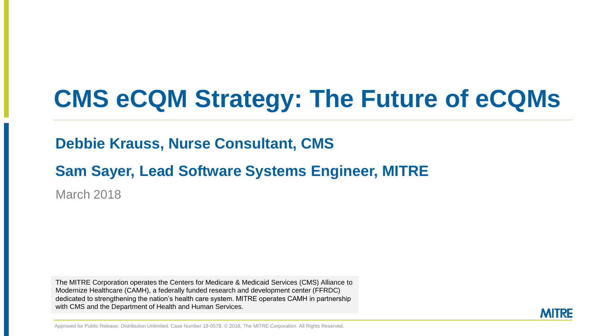# **CMS eCQM Strategy: The Future of eCQMs**

**Debbie Krauss, Nurse Consultant, CMS**

**Sam Sayer, Lead Software Systems Engineer, MITRE**

March 2018

The MITRE Corporation operates the Centers for Medicare & Medicaid Services (CMS) Alliance to Modernize Healthcare (CAMH), a federally funded research and development center (FFRDC) dedicated to strengthening the nation's health care system. MITRE operates CAMH in partnership with CMS and the Department of Health and Human Services.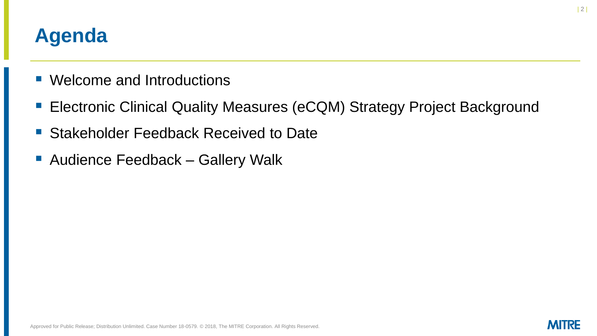### **Agenda**

- Welcome and Introductions
- Electronic Clinical Quality Measures (eCQM) Strategy Project Background
- Stakeholder Feedback Received to Date
- Audience Feedback Gallery Walk

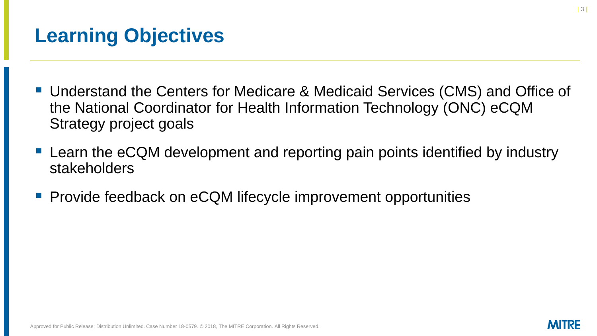## **Learning Objectives**

- Understand the Centers for Medicare & Medicaid Services (CMS) and Office of the National Coordinator for Health Information Technology (ONC) eCQM Strategy project goals
- Learn the eCQM development and reporting pain points identified by industry stakeholders
- Provide feedback on eCQM lifecycle improvement opportunities

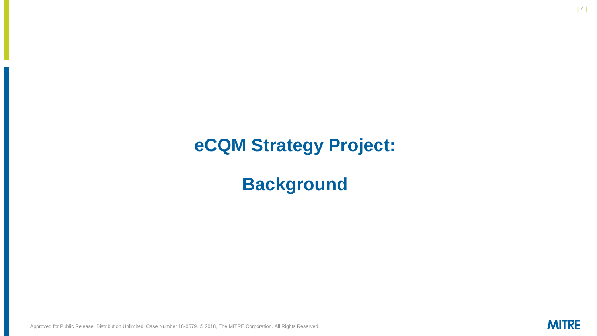#### **eCQM Strategy Project:**

**Background**

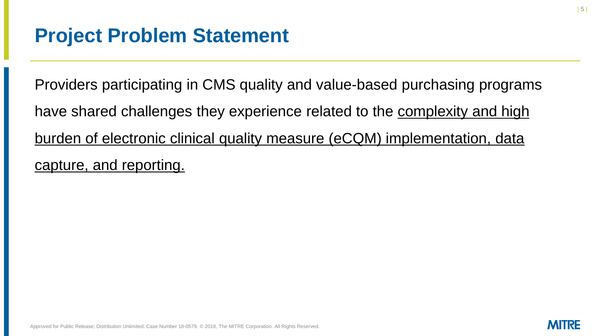Providers participating in CMS quality and value-based purchasing programs have shared challenges they experience related to the complexity and high burden of electronic clinical quality measure (eCQM) implementation, data capture, and reporting.

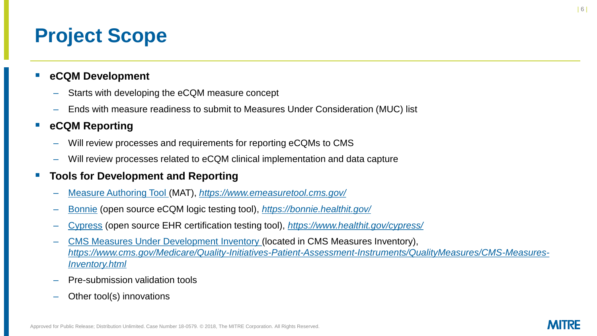## **Project Scope**

#### eCQM Development

- Starts with developing the eCQM measure concept
- Ends with measure readiness to submit to Measures Under Consideration (MUC) list

#### **eCQM Reporting**

- Will review processes and requirements for reporting eCQMs to CMS
- Will review processes related to eCQM clinical implementation and data capture

#### **Tools for Development and Reporting**

- [Measure Authoring Tool \(](https://www.emeasuretool.cms.gov/)MAT), *<https://www.emeasuretool.cms.gov/>*
- [Bonnie](https://bonnie.healthit.gov/) (open source eCQM logic testing tool), *<https://bonnie.healthit.gov/>*
- [Cypress](https://www.healthit.gov/cypress/) (open source EHR certification testing tool), *<https://www.healthit.gov/cypress/>*
- [CMS Measures Under Development Inventory](https://www.cms.gov/Medicare/Quality-Initiatives-Patient-Assessment-Instruments/QualityMeasures/CMS-Measures-Inventory.html) (located in CMS Measures Inventory), *[https://www.cms.gov/Medicare/Quality-Initiatives-Patient-Assessment-Instruments/QualityMeasures/CMS-Measures-](https://www.cms.gov/Medicare/Quality-Initiatives-Patient-Assessment-Instruments/QualityMeasures/CMS-Measures-Inventory.html)Inventory.html*
- Pre-submission validation tools
- Other tool(s) innovations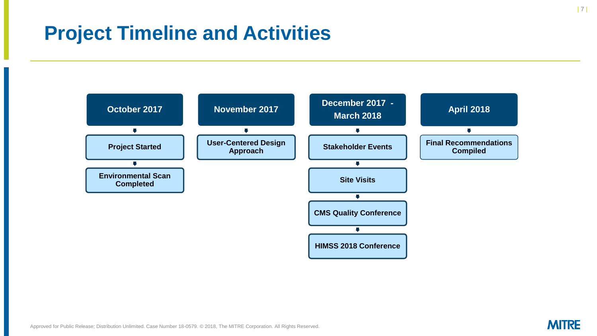### **Project Timeline and Activities**



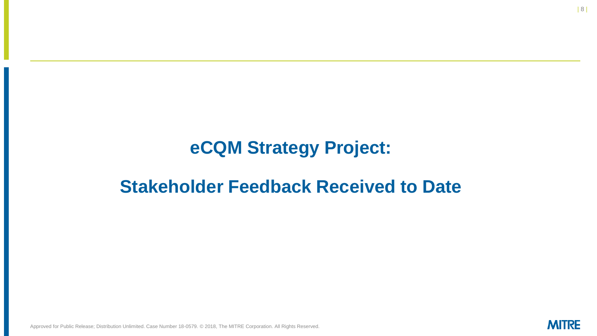#### **eCQM Strategy Project:**

#### **Stakeholder Feedback Received to Date**

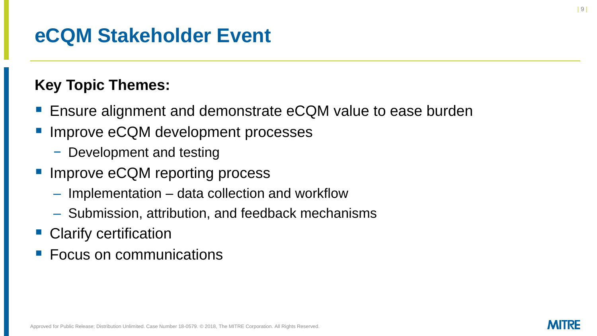### **eCQM Stakeholder Event**

#### **Key Topic Themes:**

- Ensure alignment and demonstrate eCQM value to ease burden
- Improve eCQM development processes
	- − Development and testing
- Improve eCQM reporting process
	- Implementation data collection and workflow
	- Submission, attribution, and feedback mechanisms
- Clarify certification
- **Focus on communications**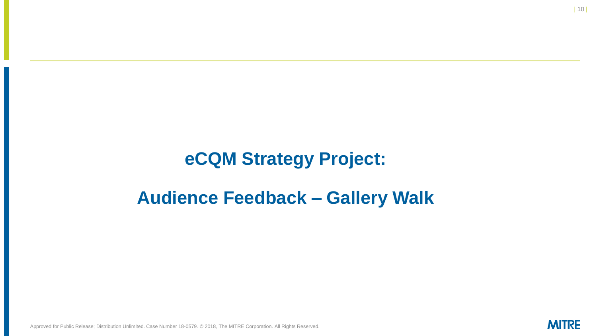#### **eCQM Strategy Project:**

#### **Audience Feedback – Gallery Walk**

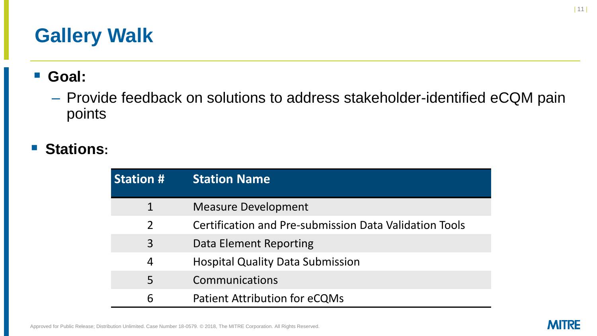## **Gallery Walk**

▪ **Goal:**

– Provide feedback on solutions to address stakeholder-identified eCQM pain points

#### ▪ **Stations:**

| <b>Station #</b> | <b>Station Name</b>                                           |
|------------------|---------------------------------------------------------------|
|                  | <b>Measure Development</b>                                    |
| $\overline{2}$   | <b>Certification and Pre-submission Data Validation Tools</b> |
| 3                | Data Element Reporting                                        |
| 4                | <b>Hospital Quality Data Submission</b>                       |
| 5                | Communications                                                |
| 6                | <b>Patient Attribution for eCQMs</b>                          |

**MITRE**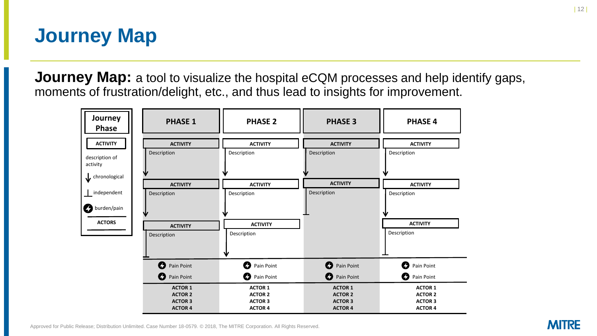### **Journey Map**

**Journey Map:** a tool to visualize the hospital eCQM processes and help identify gaps, moments of frustration/delight, etc., and thus lead to insights for improvement.

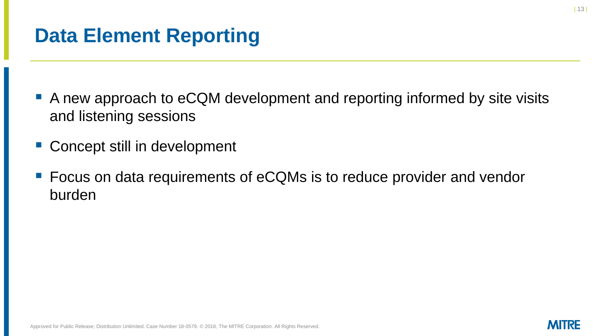### **Data Element Reporting**

- A new approach to eCQM development and reporting informed by site visits and listening sessions
- Concept still in development
- Focus on data requirements of eCQMs is to reduce provider and vendor burden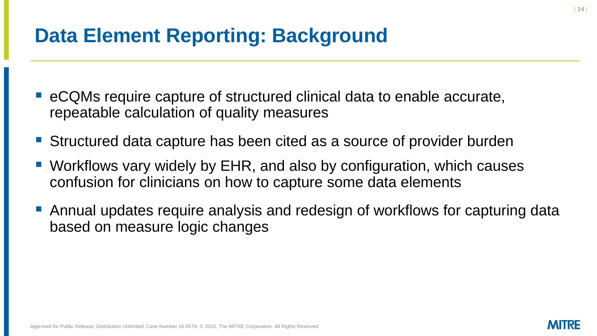### **Data Element Reporting: Background**

- eCQMs require capture of structured clinical data to enable accurate, repeatable calculation of quality measures
- Structured data capture has been cited as a source of provider burden
- Workflows vary widely by EHR, and also by configuration, which causes confusion for clinicians on how to capture some data elements
- Annual updates require analysis and redesign of workflows for capturing data based on measure logic changes

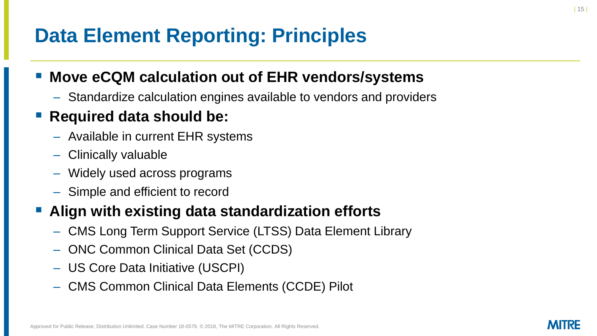## **Data Element Reporting: Principles**

#### **Move eCQM calculation out of EHR vendors/systems**

– Standardize calculation engines available to vendors and providers

#### **Required data should be:**

- Available in current EHR systems
- Clinically valuable
- Widely used across programs
- Simple and efficient to record

#### ▪ **Align with existing data standardization efforts**

- CMS Long Term Support Service (LTSS) Data Element Library
- ONC Common Clinical Data Set (CCDS)
- US Core Data Initiative (USCPI)
- CMS Common Clinical Data Elements (CCDE) Pilot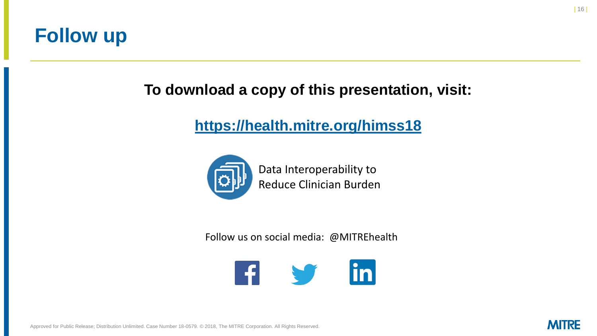#### **Follow up**

#### **To download a copy of this presentation, visit:**

#### **<https://health.mitre.org/himss18>**



Data Interoperability to Reduce Clinician Burden

Follow us on social media: @MITREhealth



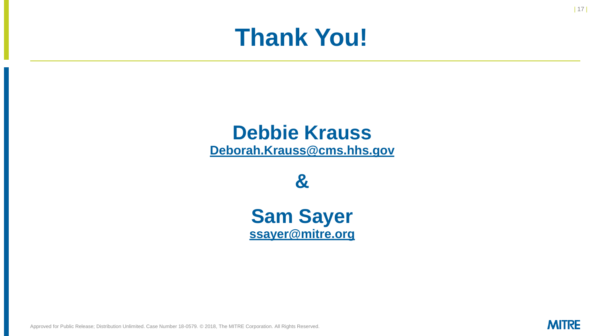# **Thank You!**

## **Debbie Krauss**

**[Deborah.Krauss@cms.hhs.gov](mailto:Deborah.Krauss@cms.hhs.gov)**

**&** 

**Sam Sayer [ssayer@mitre.org](mailto:ssayer@mitre.org)**